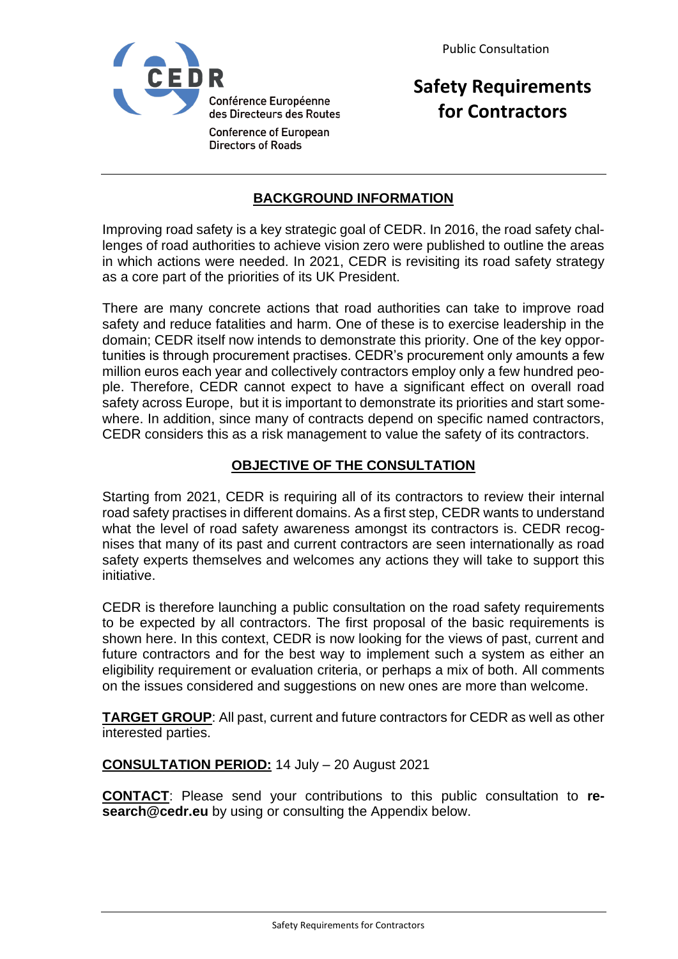

**Safety Requirements for Contractors**

## **BACKGROUND INFORMATION**

Improving road safety is a key strategic goal of CEDR. In 2016, the road safety challenges of road authorities to achieve vision zero were published to outline the areas in which actions were needed. In 2021, CEDR is revisiting its road safety strategy as a core part of the priorities of its UK President.

There are many concrete actions that road authorities can take to improve road safety and reduce fatalities and harm. One of these is to exercise leadership in the domain; CEDR itself now intends to demonstrate this priority. One of the key opportunities is through procurement practises. CEDR's procurement only amounts a few million euros each year and collectively contractors employ only a few hundred people. Therefore, CEDR cannot expect to have a significant effect on overall road safety across Europe, but it is important to demonstrate its priorities and start somewhere. In addition, since many of contracts depend on specific named contractors, CEDR considers this as a risk management to value the safety of its contractors.

## **OBJECTIVE OF THE CONSULTATION**

Starting from 2021, CEDR is requiring all of its contractors to review their internal road safety practises in different domains. As a first step, CEDR wants to understand what the level of road safety awareness amongst its contractors is. CEDR recognises that many of its past and current contractors are seen internationally as road safety experts themselves and welcomes any actions they will take to support this initiative.

CEDR is therefore launching a public consultation on the road safety requirements to be expected by all contractors. The first proposal of the basic requirements is shown here. In this context, CEDR is now looking for the views of past, current and future contractors and for the best way to implement such a system as either an eligibility requirement or evaluation criteria, or perhaps a mix of both. All comments on the issues considered and suggestions on new ones are more than welcome.

**TARGET GROUP**: All past, current and future contractors for CEDR as well as other interested parties.

## **CONSULTATION PERIOD:** 14 July – 20 August 2021

**CONTACT**: Please send your contributions to this public consultation to **research@cedr.eu** by using or consulting the Appendix below.